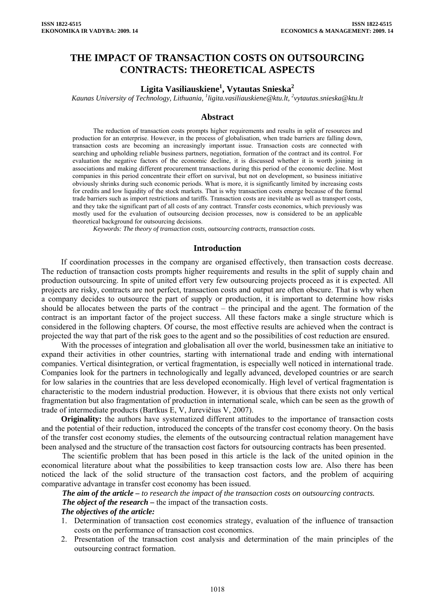# **THE IMPACT OF TRANSACTION COSTS ON OUTSOURCING CONTRACTS: THEORETICAL ASPECTS**

# $\mathbf{Ligita Vasiliauskiene}^{1}, \mathbf{Vytautas Snieska}^{2}$

*Kaunas University of Technology, Lithuania, <sup>1</sup> [ligita.vasiliauskiene@ktu.lt](mailto:ligita.vasiliauskiene@ktu.lt), 2 [vytautas.snieska@ktu.lt](mailto:vytautas.snieska@ktu.lt)* 

### **Abstract**

The reduction of transaction costs prompts higher requirements and results in split of resources and production for an enterprise. However, in the process of globalisation, when trade barriers are falling down, transaction costs are becoming an increasingly important issue. Transaction costs are connected with searching and upholding reliable business partners, negotiation, formation of the contract and its control. For evaluation the negative factors of the economic decline, it is discussed whether it is worth joining in associations and making different procurement transactions during this period of the economic decline. Most companies in this period concentrate their effort on survival, but not on development, so business initiative obviously shrinks during such economic periods. What is more, it is significantly limited by increasing costs for credits and low liquidity of the stock markets. That is why transaction costs emerge because of the formal trade barriers such as import restrictions and tariffs. Transaction costs are inevitable as well as transport costs, and they take the significant part of all costs of any contract. Transfer costs economics, which previously was mostly used for the evaluation of outsourcing decision processes, now is considered to be an applicable theoretical background for outsourcing decisions.

*Keywords: The theory of transaction costs, outsourcing contracts, transaction costs.*

#### **Introduction**

If coordination processes in the company are organised effectively, then transaction costs decrease. The reduction of transaction costs prompts higher requirements and results in the split of supply chain and production outsourcing. In spite of united effort very few outsourcing projects proceed as it is expected. All projects are risky, contracts are not perfect, transaction costs and output are often obscure. That is why when a company decides to outsource the part of supply or production, it is important to determine how risks should be allocates between the parts of the contract – the principal and the agent. The formation of the contract is an important factor of the project success. All these factors make a single structure which is considered in the following chapters. Of course, the most effective results are achieved when the contract is projected the way that part of the risk goes to the agent and so the possibilities of cost reduction are ensured.

With the processes of integration and globalisation all over the world, businessmen take an initiative to expand their activities in other countries, starting with international trade and ending with international companies. Vertical disintegration, or vertical fragmentation, is especially well noticed in international trade. Companies look for the partners in technologically and legally advanced, developed countries or are search for low salaries in the countries that are less developed economically. High level of vertical fragmentation is characteristic to the modern industrial production. However, it is obvious that there exists not only vertical fragmentation but also fragmentation of production in international scale, which can be seen as the growth of trade of intermediate products (Bartkus E, V, Jurevičius V, 2007).

**Originality:** the authors have systematized different attitudes to the importance of transaction costs and the potential of their reduction, introduced the concepts of the transfer cost economy theory. On the basis of the transfer cost economy studies, the elements of the outsourcing contractual relation management have been analysed and the structure of the transaction cost factors for outsourcing contracts has been presented.

The scientific problem that has been posed in this article is the lack of the united opinion in the economical literature about what the possibilities to keep transaction costs low are. Also there has been noticed the lack of the solid structure of the transaction cost factors, and the problem of acquiring comparative advantage in transfer cost economy has been issued.

*The aim of the article – to research the impact of the transaction costs on outsourcing contracts. The object of the research* – the impact of the transaction costs. *The objectives of the article:* 

- 1. Determination of transaction cost economics strategy, evaluation of the influence of transaction costs on the performance of transaction cost economics.
- 2. Presentation of the transaction cost analysis and determination of the main principles of the outsourcing contract formation.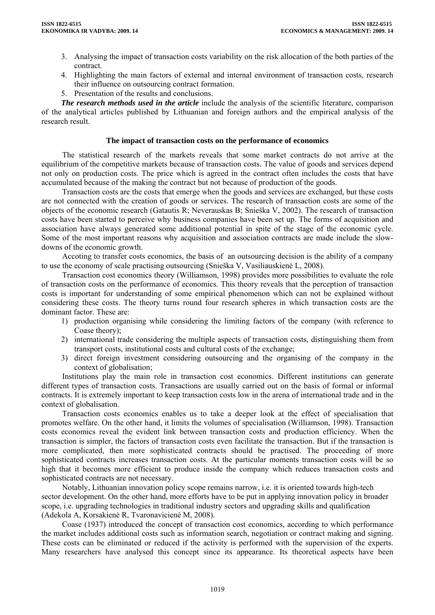- 3. Analysing the impact of transaction costs variability on the risk allocation of the both parties of the contract.
- 4. Highlighting the main factors of external and internal environment of transaction costs, research their influence on outsourcing contract formation.
- 5. Presentation of the results and conclusions.

*The research methods used in the article* include the analysis of the scientific literature, comparison of the analytical articles published by Lithuanian and foreign authors and the empirical analysis of the research result.

### **The impact of transaction costs on the performance of economics**

The statistical research of the markets reveals that some market contracts do not arrive at the equilibrium of the competitive markets because of transaction costs. The value of goods and services depend not only on production costs. The price which is agreed in the contract often includes the costs that have accumulated because of the making the contract but not because of production of the goods.

Transaction costs are the costs that emerge when the goods and services are exchanged, but these costs are not connected with the creation of goods or services. The research of transaction costs are some of the objects of the economic research (Gatautis R; Neverauskas B; Snieška V, 2002). The research of transaction costs have been started to perceive why business companies have been set up. The forms of acquisition and association have always generated some additional potential in spite of the stage of the economic cycle. Some of the most important reasons why acquisition and association contracts are made include the slowdowns of the economic growth.

Accoting to transfer costs economics, the basis of an outsourcing decision is the ability of a company to use the economy of scale practising outsourcing (Snieška V, Vasiliauskienė L, 2008).

Transaction cost economics theory (Williamson, 1998) provides more possibilities to evaluate the role of transaction costs on the performance of economics. This theory reveals that the perception of transaction costs is important for understanding of some empirical phenomenon which can not be explained without considering these costs. The theory turns round four research spheres in which transaction costs are the dominant factor. These are:

- 1) production organising while considering the limiting factors of the company (with reference to Coase theory);
- 2) international trade considering the multiple aspects of transaction costs, distinguishing them from transport costs, institutional costs and cultural costs of the exchange;
- 3) direct foreign investment considering outsourcing and the organising of the company in the context of globalisation;

Institutions play the main role in transaction cost economics. Different institutions can generate different types of transaction costs. Transactions are usually carried out on the basis of formal or informal contracts. It is extremely important to keep transaction costs low in the arena of international trade and in the context of globalisation.

Transaction costs economics enables us to take a deeper look at the effect of specialisation that promotes welfare. On the other hand, it limits the volumes of specialisation (Williamson, 1998). Transaction costs economics reveal the evident link between transaction costs and production efficiency. When the transaction is simpler, the factors of transaction costs even facilitate the transaction. But if the transaction is more complicated, then more sophisticated contracts should be practised. The proceeding of more sophisticated contracts increases transaction costs. At the particular moments transaction costs will be so high that it becomes more efficient to produce inside the company which reduces transaction costs and sophisticated contracts are not necessary.

Notably, Lithuanian innovation policy scope remains narrow, i.e. it is oriented towards high-tech sector development. On the other hand, more efforts have to be put in applying innovation policy in broader scope, i.e. upgrading technologies in traditional industry sectors and upgrading skills and qualification (Adekola A, Korsakienė R, Tvaronavicienė M, 2008).

Coase (1937) introduced the concept of transaction cost economics, according to which performance the market includes additional costs such as information search, negotiation or contract making and signing. These costs can be eliminated or reduced if the activity is performed with the supervision of the experts. Many researchers have analysed this concept since its appearance. Its theoretical aspects have been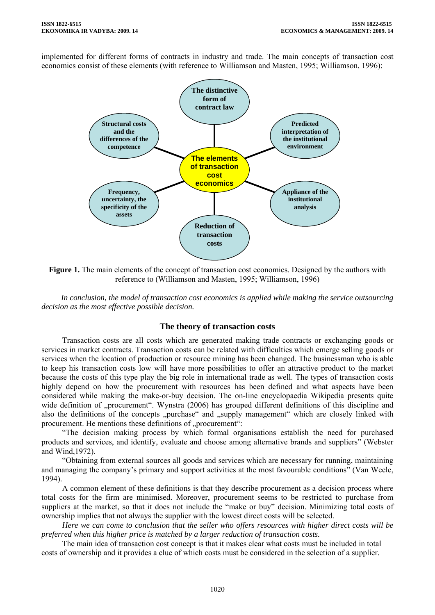implemented for different forms of contracts in industry and trade. The main concepts of transaction cost economics consist of these elements (with reference to Williamson and Masten, 1995; Williamson, 1996):



**Figure 1.** The main elements of the concept of transaction cost economics. Designed by the authors with reference to (Williamson and Masten, 1995; Williamson, 1996)

*In conclusion, the model of transaction cost economics is applied while making the service outsourcing decision as the most effective possible decision.* 

#### **The theory of transaction costs**

Transaction costs are all costs which are generated making trade contracts or exchanging goods or services in market contracts. Transaction costs can be related with difficulties which emerge selling goods or services when the location of production or resource mining has been changed. The businessman who is able to keep his transaction costs low will have more possibilities to offer an attractive product to the market because the costs of this type play the big role in international trade as well. The types of transaction costs highly depend on how the procurement with resources has been defined and what aspects have been considered while making the make-or-buy decision. The on-line encyclopaedia Wikipedia presents quite wide definition of "procurement". Wynstra (2006) has grouped different definitions of this discipline and also the definitions of the concepts "purchase" and "supply management" which are closely linked with procurement. He mentions these definitions of "procurement":

"The decision making process by which formal organisations establish the need for purchased products and services, and identify, evaluate and choose among alternative brands and suppliers" (Webster and Wind,1972).

"Obtaining from external sources all goods and services which are necessary for running, maintaining and managing the company's primary and support activities at the most favourable conditions" (Van Weele, 1994).

A common element of these definitions is that they describe procurement as a decision process where total costs for the firm are minimised. Moreover, procurement seems to be restricted to purchase from suppliers at the market, so that it does not include the "make or buy" decision. Minimizing total costs of ownership implies that not always the supplier with the lowest direct costs will be selected.

*Here we can come to conclusion that the seller who offers resources with higher direct costs will be preferred when this higher price is matched by a larger reduction of transaction costs.* 

The main idea of transaction cost concept is that it makes clear what costs must be included in total costs of ownership and it provides a clue of which costs must be considered in the selection of a supplier.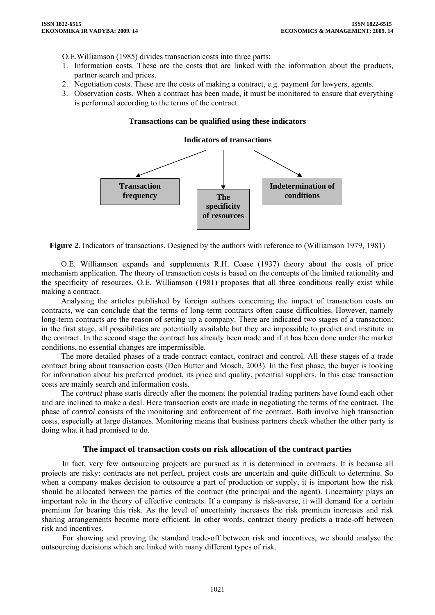O.E.Williamson (1985) divides transaction costs into three parts:

- 1. Information costs. These are the costs that are linked with the information about the products, partner search and prices.
- 2. Negotiation costs. These are the costs of making a contract, e.g. payment for lawyers, agents.
- 3. Observation costs. When a contract has been made, it must be monitored to ensure that everything is performed according to the terms of the contract.

#### **Transactions can be qualified using these indicators**

#### **Indicators of transactions**



**Figure 2**. Indicators of transactions. Designed by the authors with reference to (Williamson 1979, 1981)

O.E. Williamson expands and supplements R.H. Coase (1937) theory about the costs of price mechanism application. The theory of transaction costs is based on the concepts of the limited rationality and the specificity of resources. O.E. Williamson (1981) proposes that all three conditions really exist while making a contract.

Analysing the articles published by foreign authors concerning the impact of transaction costs on contracts, we can conclude that the terms of long-term contracts often cause difficulties. However, namely long-term contracts are the reason of setting up a company. There are indicated two stages of a transaction: in the first stage, all possibilities are potentially available but they are impossible to predict and institute in the contract. In the second stage the contract has already been made and if it has been done under the market conditions, no essential changes are impermissible.

The more detailed phases of a trade contract contact, contract and control. All these stages of a trade contract bring about transaction costs (Den Butter and Mosch, 2003). In the first phase, the buyer is looking for information about his preferred product, its price and quality, potential suppliers. In this case transaction costs are mainly search and information costs.

The *contract* phase starts directly after the moment the potential trading partners have found each other and are inclined to make a deal. Here transaction costs are made in negotiating the terms of the contract. The phase of *control* consists of the monitoring and enforcement of the contract. Both involve high transaction costs, especially at large distances. Monitoring means that business partners check whether the other party is doing what it had promised to do.

#### **The impact of transaction costs on risk allocation of the contract parties**

In fact, very few outsourcing projects are pursued as it is determined in contracts. It is because all projects are risky: contracts are not perfect, project costs are uncertain and quite difficult to determine. So when a company makes decision to outsource a part of production or supply, it is important how the risk should be allocated between the parties of the contract (the principal and the agent). Uncertainty plays an important role in the theory of effective contracts. If a company is risk-averse, it will demand for a certain premium for bearing this risk. As the level of uncertainty increases the risk premium increases and risk sharing arrangements become more efficient. In other words, contract theory predicts a trade-off between risk and incentives.

For showing and proving the standard trade-off between risk and incentives, we should analyse the outsourcing decisions which are linked with many different types of risk.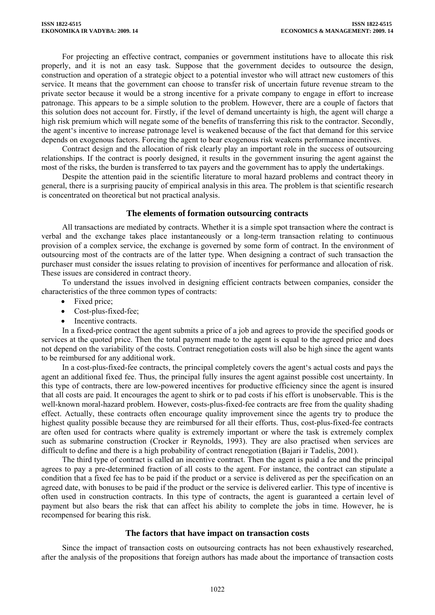For projecting an effective contract, companies or government institutions have to allocate this risk properly, and it is not an easy task. Suppose that the government decides to outsource the design, construction and operation of a strategic object to a potential investor who will attract new customers of this service. It means that the government can choose to transfer risk of uncertain future revenue stream to the private sector because it would be a strong incentive for a private company to engage in effort to increase patronage. This appears to be a simple solution to the problem. However, there are a couple of factors that this solution does not account for. Firstly, if the level of demand uncertainty is high, the agent will charge a high risk premium which will negate some of the benefits of transferring this risk to the contractor. Secondly, the agent's incentive to increase patronage level is weakened because of the fact that demand for this service depends on exogenous factors. Forcing the agent to bear exogenous risk weakens performance incentives.

Contract design and the allocation of risk clearly play an important role in the success of outsourcing relationships. If the contract is poorly designed, it results in the government insuring the agent against the most of the risks, the burden is transferred to tax payers and the government has to apply the undertakings.

Despite the attention paid in the scientific literature to moral hazard problems and contract theory in general, there is a surprising paucity of empirical analysis in this area. The problem is that scientific research is concentrated on theoretical but not practical analysis.

#### **The elements of formation outsourcing contracts**

All transactions are mediated by contracts. Whether it is a simple spot transaction where the contract is verbal and the exchange takes place instantaneously or a long-term transaction relating to continuous provision of a complex service, the exchange is governed by some form of contract. In the environment of outsourcing most of the contracts are of the latter type. When designing a contract of such transaction the purchaser must consider the issues relating to provision of incentives for performance and allocation of risk. These issues are considered in contract theory.

To understand the issues involved in designing efficient contracts between companies, consider the characteristics of the three common types of contracts:

- Fixed price:
- Cost-plus-fixed-fee;
- Incentive contracts.

In a fixed-price contract the agent submits a price of a job and agrees to provide the specified goods or services at the quoted price. Then the total payment made to the agent is equal to the agreed price and does not depend on the variability of the costs. Contract renegotiation costs will also be high since the agent wants to be reimbursed for any additional work.

In a cost-plus-fixed-fee contracts, the principal completely covers the agent's actual costs and pays the agent an additional fixed fee. Thus, the principal fully insures the agent against possible cost uncertainty. In this type of contracts, there are low-powered incentives for productive efficiency since the agent is insured that all costs are paid. It encourages the agent to shirk or to pad costs if his effort is unobservable. This is the well-known moral-hazard problem. However, costs-plus-fixed-fee contracts are free from the quality shading effect. Actually, these contracts often encourage quality improvement since the agents try to produce the highest quality possible because they are reimbursed for all their efforts. Thus, cost-plus-fixed-fee contracts are often used for contracts where quality is extremely important or where the task is extremely complex such as submarine construction (Crocker ir Reynolds, 1993). They are also practised when services are difficult to define and there is a high probability of contract renegotiation (Bajari ir Tadelis, 2001).

The third type of contract is called an incentive contract. Then the agent is paid a fee and the principal agrees to pay a pre-determined fraction of all costs to the agent. For instance, the contract can stipulate a condition that a fixed fee has to be paid if the product or a service is delivered as per the specification on an agreed date, with bonuses to be paid if the product or the service is delivered earlier. This type of incentive is often used in construction contracts. In this type of contracts, the agent is guaranteed a certain level of payment but also bears the risk that can affect his ability to complete the jobs in time. However, he is recompensed for bearing this risk.

## **The factors that have impact on transaction costs**

Since the impact of transaction costs on outsourcing contracts has not been exhaustively researched, after the analysis of the propositions that foreign authors has made about the importance of transaction costs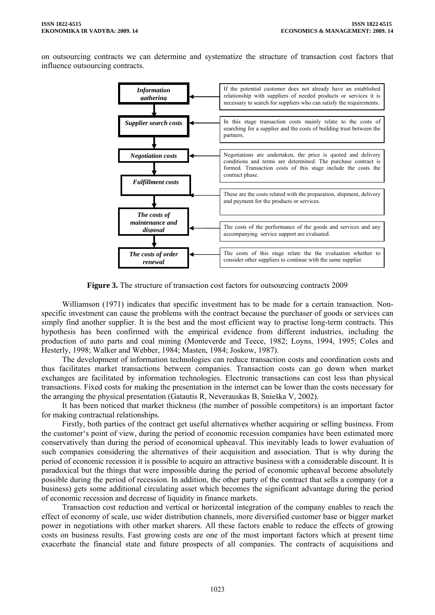on outsourcing contracts we can determine and systematize the structure of transaction cost factors that influence outsourcing contracts.



**Figure 3.** The structure of transaction cost factors for outsourcing contracts 2009

Williamson (1971) indicates that specific investment has to be made for a certain transaction. Nonspecific investment can cause the problems with the contract because the purchaser of goods or services can simply find another supplier. It is the best and the most efficient way to practise long-term contracts. This hypothesis has been confirmed with the empirical evidence from different industries, including the production of auto parts and coal mining (Monteverde and Teece, 1982; Loyns, 1994, 1995; Coles and Hesterly, 1998; Walker and Webber, 1984; Masten, 1984; Joskow, 1987).

The development of information technologies can reduce transaction costs and coordination costs and thus facilitates market transactions between companies. Transaction costs can go down when market exchanges are facilitated by information technologies. Electronic transactions can cost less than physical transactions. Fixed costs for making the presentation in the internet can be lower than the costs necessary for the arranging the physical presentation (Gatautis R, Neverauskas B, Snieška V, 2002).

It has been noticed that market thickness (the number of possible competitors) is an important factor for making contractual relationships.

Firstly, both parties of the contract get useful alternatives whether acquiring or selling business. From the customer's point of view, during the period of economic recession companies have been estimated more conservatively than during the period of economical upheaval. This inevitably leads to lower evaluation of such companies considering the alternatives of their acquisition and association. That is why during the period of economic recession it is possible to acquire an attractive business with a considerable discount. It is paradoxical but the things that were impossible during the period of economic upheaval become absolutely possible during the period of recession. In addition, the other party of the contract that sells a company (or a business) gets some additional circulating asset which becomes the significant advantage during the period of economic recession and decrease of liquidity in finance markets.

Transaction cost reduction and vertical or horizontal integration of the company enables to reach the effect of economy of scale, use wider distribution channels, more diversified customer base or bigger market power in negotiations with other market sharers. All these factors enable to reduce the effects of growing costs on business results. Fast growing costs are one of the most important factors which at present time exacerbate the financial state and future prospects of all companies. The contracts of acquisitions and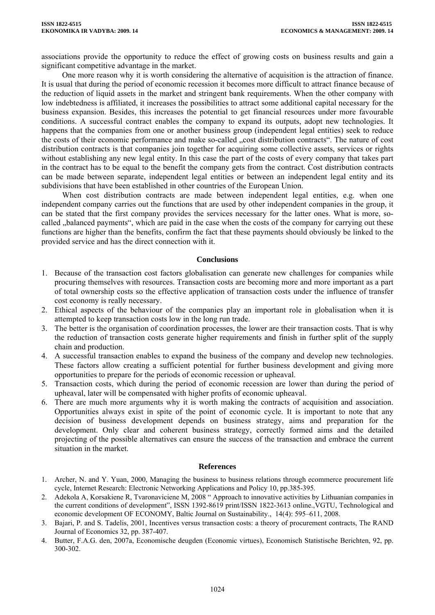associations provide the opportunity to reduce the effect of growing costs on business results and gain a significant competitive advantage in the market.

One more reason why it is worth considering the alternative of acquisition is the attraction of finance. It is usual that during the period of economic recession it becomes more difficult to attract finance because of the reduction of liquid assets in the market and stringent bank requirements. When the other company with low indebtedness is affiliated, it increases the possibilities to attract some additional capital necessary for the business expansion. Besides, this increases the potential to get financial resources under more favourable conditions. A successful contract enables the company to expand its outputs, adopt new technologies. It happens that the companies from one or another business group (independent legal entities) seek to reduce the costs of their economic performance and make so-called "cost distribution contracts". The nature of cost distribution contracts is that companies join together for acquiring some collective assets, services or rights without establishing any new legal entity. In this case the part of the costs of every company that takes part in the contract has to be equal to the benefit the company gets from the contract. Cost distribution contracts can be made between separate, independent legal entities or between an independent legal entity and its subdivisions that have been established in other countries of the European Union.

When cost distribution contracts are made between independent legal entities, e.g. when one independent company carries out the functions that are used by other independent companies in the group, it can be stated that the first company provides the services necessary for the latter ones. What is more, socalled "balanced payments", which are paid in the case when the costs of the company for carrying out these functions are higher than the benefits, confirm the fact that these payments should obviously be linked to the provided service and has the direct connection with it.

#### **Conclusions**

- 1. Because of the transaction cost factors globalisation can generate new challenges for companies while procuring themselves with resources. Transaction costs are becoming more and more important as a part of total ownership costs so the effective application of transaction costs under the influence of transfer cost economy is really necessary.
- 2. Ethical aspects of the behaviour of the companies play an important role in globalisation when it is attempted to keep transaction costs low in the long run trade.
- 3. The better is the organisation of coordination processes, the lower are their transaction costs. That is why the reduction of transaction costs generate higher requirements and finish in further split of the supply chain and production.
- 4. A successful transaction enables to expand the business of the company and develop new technologies. These factors allow creating a sufficient potential for further business development and giving more opportunities to prepare for the periods of economic recession or upheaval.
- 5. Transaction costs, which during the period of economic recession are lower than during the period of upheaval, later will be compensated with higher profits of economic upheaval.
- 6. There are much more arguments why it is worth making the contracts of acquisition and association. Opportunities always exist in spite of the point of economic cycle. It is important to note that any decision of business development depends on business strategy, aims and preparation for the development. Only clear and coherent business strategy, correctly formed aims and the detailed projecting of the possible alternatives can ensure the success of the transaction and embrace the current situation in the market.

#### **References**

- 1. Archer, N. and Y. Yuan, 2000, Managing the business to business relations through ecommerce procurement life cycle, Internet Research: Electronic Networking Applications and Policy 10, pp.385-395.
- 2. Adekola A, Korsakiene R, Tvaronaviciene M, 2008 " Approach to innovative activities by Lithuanian companies in the current conditions of development", ISSN 1392-8619 print/ISSN 1822-3613 online.,VGTU, Technological and economic development OF ECONOMY, Baltic Journal on Sustainability., 14(4): 595–611, 2008.
- 3. Bajari, P. and S. Tadelis, 2001, Incentives versus transaction costs: a theory of procurement contracts, The RAND Journal of Economics 32, pp. 387-407.
- 4. Butter, F.A.G. den, 2007a, Economische deugden (Economic virtues), Economisch Statistische Berichten, 92, pp. 300-302.